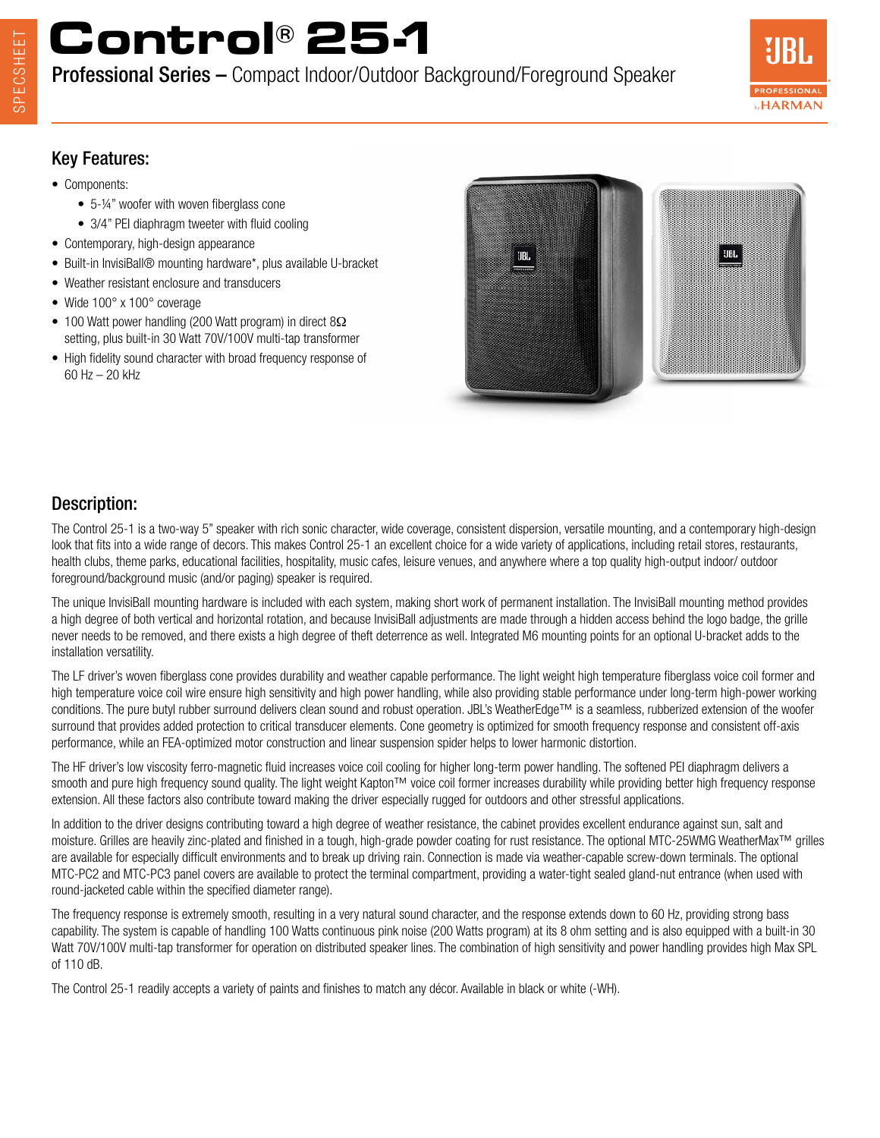# **Control® 25-1**

Professional Series – Compact Indoor/Outdoor Background/Foreground Speaker



#### Key Features:

- Components:
	- 5-¼" woofer with woven fiberglass cone
	- 3/4" PEI diaphragm tweeter with fluid cooling
- Contemporary, high-design appearance
- Built-in InvisiBall® mounting hardware\*, plus available U-bracket
- Weather resistant enclosure and transducers
- Wide 100° x 100° coverage
- 100 Watt power handling (200 Watt program) in direct 8Ω setting, plus built-in 30 Watt 70V/100V multi-tap transformer
- High fidelity sound character with broad frequency response of 60 Hz – 20 kHz



#### Description:

The Control 25-1 is a two-way 5" speaker with rich sonic character, wide coverage, consistent dispersion, versatile mounting, and a contemporary high-design look that fits into a wide range of decors. This makes Control 25-1 an excellent choice for a wide variety of applications, including retail stores, restaurants, health clubs, theme parks, educational facilities, hospitality, music cafes, leisure venues, and anywhere where a top quality high-output indoor/ outdoor foreground/background music (and/or paging) speaker is required.

The unique InvisiBall mounting hardware is included with each system, making short work of permanent installation. The InvisiBall mounting method provides a high degree of both vertical and horizontal rotation, and because InvisiBall adjustments are made through a hidden access behind the logo badge, the grille never needs to be removed, and there exists a high degree of theft deterrence as well. Integrated M6 mounting points for an optional U-bracket adds to the installation versatility.

The LF driver's woven fiberglass cone provides durability and weather capable performance. The light weight high temperature fiberglass voice coil former and high temperature voice coil wire ensure high sensitivity and high power handling, while also providing stable performance under long-term high-power working conditions. The pure butyl rubber surround delivers clean sound and robust operation. JBL's WeatherEdge™ is a seamless, rubberized extension of the woofer surround that provides added protection to critical transducer elements. Cone geometry is optimized for smooth frequency response and consistent off-axis performance, while an FEA-optimized motor construction and linear suspension spider helps to lower harmonic distortion.

The HF driver's low viscosity ferro-magnetic fluid increases voice coil cooling for higher long-term power handling. The softened PEI diaphragm delivers a smooth and pure high frequency sound quality. The light weight Kapton™ voice coil former increases durability while providing better high frequency response extension. All these factors also contribute toward making the driver especially rugged for outdoors and other stressful applications.

In addition to the driver designs contributing toward a high degree of weather resistance, the cabinet provides excellent endurance against sun, salt and moisture. Grilles are heavily zinc-plated and finished in a tough, high-grade powder coating for rust resistance. The optional MTC-25WMG WeatherMax™ grilles are available for especially difficult environments and to break up driving rain. Connection is made via weather-capable screw-down terminals. The optional MTC-PC2 and MTC-PC3 panel covers are available to protect the terminal compartment, providing a water-tight sealed gland-nut entrance (when used with round-jacketed cable within the specified diameter range).

The frequency response is extremely smooth, resulting in a very natural sound character, and the response extends down to 60 Hz, providing strong bass capability. The system is capable of handling 100 Watts continuous pink noise (200 Watts program) at its 8 ohm setting and is also equipped with a built-in 30 Watt 70V/100V multi-tap transformer for operation on distributed speaker lines. The combination of high sensitivity and power handling provides high Max SPL of 110 dB.

The Control 25-1 readily accepts a variety of paints and finishes to match any décor. Available in black or white (-WH).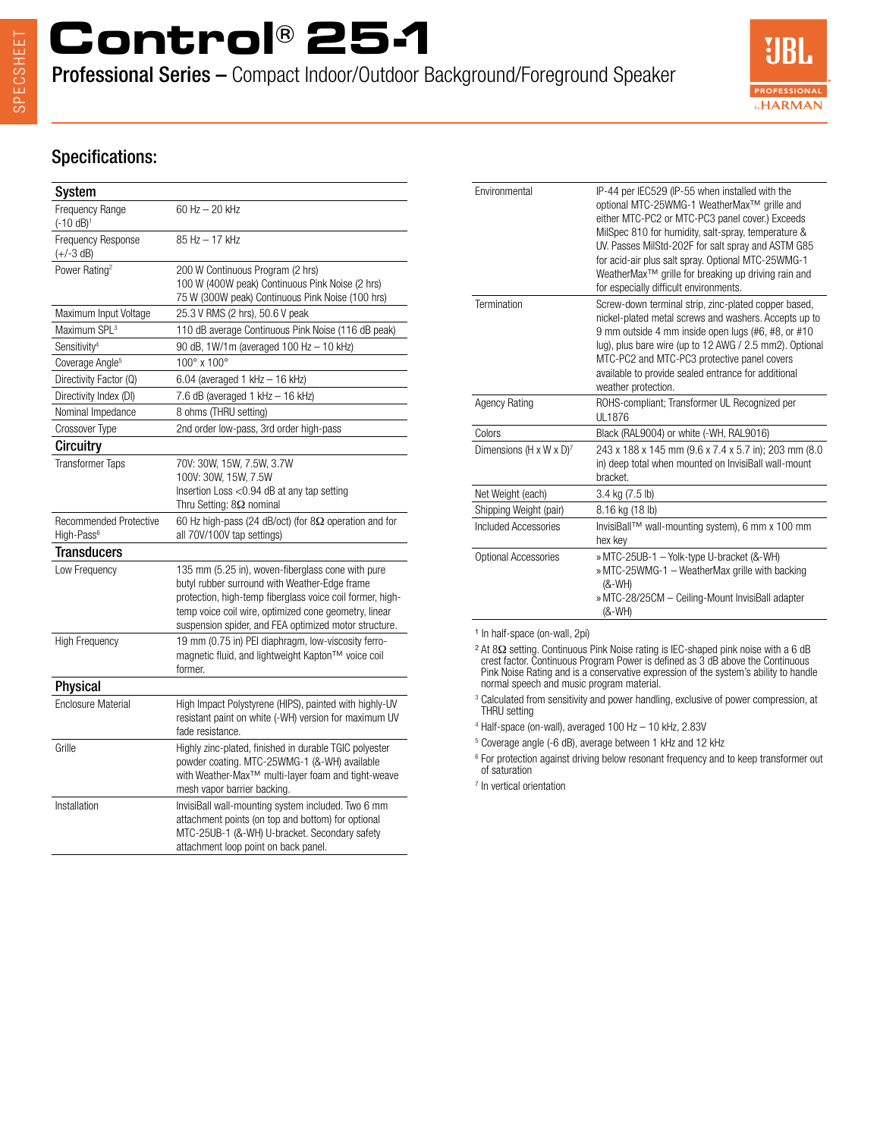# **Control® 25-1**

Professional Series – Compact Indoor/Outdoor Background/Foreground Speaker



#### Specifications:

| System                                           |                                                                                                                                                                                                                                                                                   |
|--------------------------------------------------|-----------------------------------------------------------------------------------------------------------------------------------------------------------------------------------------------------------------------------------------------------------------------------------|
| Frequency Range<br>$(-10 dB)^1$                  | $60$ Hz $-$ 20 kHz                                                                                                                                                                                                                                                                |
| Frequency Response<br>$(+/-3 dB)$                | 85 Hz - 17 kHz                                                                                                                                                                                                                                                                    |
| Power Rating <sup>2</sup>                        | 200 W Continuous Program (2 hrs)<br>100 W (400W peak) Continuous Pink Noise (2 hrs)<br>75 W (300W peak) Continuous Pink Noise (100 hrs)                                                                                                                                           |
| Maximum Input Voltage                            | 25.3 V RMS (2 hrs), 50.6 V peak                                                                                                                                                                                                                                                   |
| Maximum SPL <sup>3</sup>                         | 110 dB average Continuous Pink Noise (116 dB peak)                                                                                                                                                                                                                                |
| Sensitivity <sup>4</sup>                         | 90 dB, 1W/1m (averaged 100 Hz - 10 kHz)                                                                                                                                                                                                                                           |
| Coverage Angle <sup>5</sup>                      | 100° x 100°                                                                                                                                                                                                                                                                       |
| Directivity Factor (Q)                           | 6.04 (averaged 1 kHz $-$ 16 kHz)                                                                                                                                                                                                                                                  |
| Directivity Index (DI)                           | 7.6 dB (averaged 1 kHz $-$ 16 kHz)                                                                                                                                                                                                                                                |
| Nominal Impedance                                | 8 ohms (THRU setting)                                                                                                                                                                                                                                                             |
| Crossover Type                                   | 2nd order low-pass, 3rd order high-pass                                                                                                                                                                                                                                           |
| Circuitry                                        |                                                                                                                                                                                                                                                                                   |
| <b>Transformer Taps</b>                          | 70V: 30W, 15W, 7.5W, 3.7W<br>100V: 30W, 15W, 7.5W<br>Insertion Loss < 0.94 dB at any tap setting<br>Thru Setting: $8\Omega$ nominal                                                                                                                                               |
| Recommended Protective<br>High-Pass <sup>6</sup> | 60 Hz high-pass (24 dB/oct) (for $8\Omega$ operation and for<br>all 70V/100V tap settings)                                                                                                                                                                                        |
| <b>Transducers</b>                               |                                                                                                                                                                                                                                                                                   |
| Low Frequency                                    | 135 mm (5.25 in), woven-fiberglass cone with pure<br>butyl rubber surround with Weather-Edge frame<br>protection, high-temp fiberglass voice coil former, high-<br>temp voice coil wire, optimized cone geometry, linear<br>suspension spider, and FEA optimized motor structure. |
| <b>High Frequency</b>                            | 19 mm (0.75 in) PEI diaphragm, low-viscosity ferro-<br>magnetic fluid, and lightweight Kapton™ voice coil<br>former.                                                                                                                                                              |
| <b>Physical</b>                                  |                                                                                                                                                                                                                                                                                   |
| <b>Enclosure Material</b>                        | High Impact Polystyrene (HIPS), painted with highly-UV<br>resistant paint on white (-WH) version for maximum UV<br>fade resistance.                                                                                                                                               |
| Grille                                           | Highly zinc-plated, finished in durable TGIC polyester<br>powder coating. MTC-25WMG-1 (&-WH) available<br>with Weather-Max <sup>™</sup> multi-layer foam and tight-weave<br>mesh vapor barrier backing.                                                                           |
| Installation                                     | InvisiBall wall-mounting system included. Two 6 mm<br>attachment points (on top and bottom) for optional<br>MTC-25UB-1 (&-WH) U-bracket. Secondary safety<br>attachment loop point on back panel.                                                                                 |

| Environmental                       | IP-44 per IEC529 (IP-55 when installed with the<br>optional MTC-25WMG-1 WeatherMax™ grille and<br>either MTC-PC2 or MTC-PC3 panel cover.) Exceeds<br>MilSpec 810 for humidity, salt-spray, temperature &<br>UV. Passes MilStd-202F for salt spray and ASTM G85<br>for acid-air plus salt spray. Optional MTC-25WMG-1<br>WeatherMax™ grille for breaking up driving rain and<br>for especially difficult environments. |
|-------------------------------------|-----------------------------------------------------------------------------------------------------------------------------------------------------------------------------------------------------------------------------------------------------------------------------------------------------------------------------------------------------------------------------------------------------------------------|
| Termination                         | Screw-down terminal strip, zinc-plated copper based,<br>nickel-plated metal screws and washers. Accepts up to<br>9 mm outside 4 mm inside open lugs (#6, #8, or #10<br>lug), plus bare wire (up to 12 AWG / 2.5 mm2). Optional<br>MTC-PC2 and MTC-PC3 protective panel covers<br>available to provide sealed entrance for additional<br>weather protection.                                                           |
| <b>Agency Rating</b>                | ROHS-compliant; Transformer UL Recognized per<br>UL1876                                                                                                                                                                                                                                                                                                                                                               |
| Colors                              | Black (RAL9004) or white (-WH, RAL9016)                                                                                                                                                                                                                                                                                                                                                                               |
| Dimensions (H x W x D) <sup>7</sup> | 243 x 188 x 145 mm (9.6 x 7.4 x 5.7 in); 203 mm (8.0<br>in) deep total when mounted on InvisiBall wall-mount<br>bracket.                                                                                                                                                                                                                                                                                              |
| Net Weight (each)                   | 3.4 kg (7.5 lb)                                                                                                                                                                                                                                                                                                                                                                                                       |
| Shipping Weight (pair)              | 8.16 kg (18 lb)                                                                                                                                                                                                                                                                                                                                                                                                       |
| Included Accessories                | InvisiBall™ wall-mounting system), 6 mm x 100 mm<br>hex key                                                                                                                                                                                                                                                                                                                                                           |
| Optional Accessories                | » MTC-25UB-1 - Yolk-type U-bracket (&-WH)<br>» MTC-25WMG-1 - WeatherMax grille with backing<br>$(8 - WH)$<br>» MTC-28/25CM - Ceiling-Mount InvisiBall adapter<br>(&-WH)                                                                                                                                                                                                                                               |

<sup>1</sup> In half-space (on-wall, 2pi)

² At 8Ω setting. Continuous Pink Noise rating is IEC-shaped pink noise with a 6 dB crest factor. Continuous Program Power is defined as 3 dB above the Continuous Pink Noise Rating and is a conservative expression of the system's ability to handle normal speech and music program material.

<sup>3</sup> Calculated from sensitivity and power handling, exclusive of power compression, at THRU setting

4 Half-space (on-wall), averaged 100 Hz – 10 kHz, 2.83V

5 Coverage angle (-6 dB), average between 1 kHz and 12 kHz

<sup>6</sup> For protection against driving below resonant frequency and to keep transformer out of saturation

7 In vertical orientation